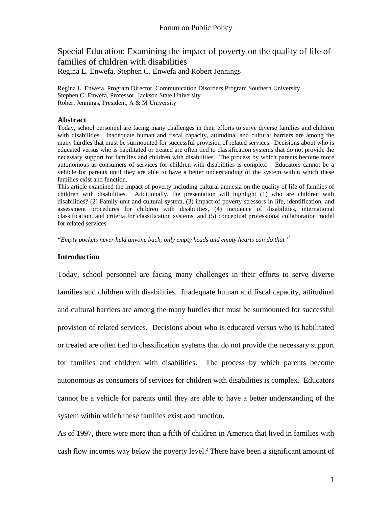## Special Education: Examining the impact of poverty on the quality of life of families of children with disabilities Regina L. Enwefa, Stephen C. Enwefa and Robert Jennings

Regina L. Enwefa, Program Director, Communication Disorders Program Southern University Stephen C. Enwefa, Professor, Jackson State University Robert Jennings, President, A & M University

## **Abstract**

Today, school personnel are facing many challenges in their efforts to serve diverse families and children with disabilities. Inadequate human and fiscal capacity, attitudinal and cultural barriers are among the many hurdles that must be surmounted for successful provision of related services. Decisions about who is educated versus who is habilitated or treated are often tied to classification systems that do not provide the necessary support for families and children with disabilities. The process by which parents become more autonomous as consumers of services for children with disabilities is complex. Educators cannot be a vehicle for parents until they are able to have a better understanding of the system within which these families exist and function.

This article examined the impact of poverty including cultural amnesia on the quality of life of families of children with disabilities. Additionally, the presentation will highlight (1) who are children with disabilities? (2) Family unit and cultural system, (3) impact of poverty stressors in life, identification, and assessment procedures for children with disabilities, (4) incidence of disabilities, international classification, and criteria for classification systems, and (5) conceptual professional collaboration model for related services.

*"Empty pockets never held anyone back; only empty heads and empty hearts can do that"1* 

## **Introduction**

Today, school personnel are facing many challenges in their efforts to serve diverse families and children with disabilities. Inadequate human and fiscal capacity, attitudinal and cultural barriers are among the many hurdles that must be surmounted for successful provision of related services. Decisions about who is educated versus who is habilitated or treated are often tied to classification systems that do not provide the necessary support for families and children with disabilities. The process by which parents become autonomous as consumers of services for children with disabilities is complex. Educators cannot be a vehicle for parents until they are able to have a better understanding of the system within which these families exist and function.

As of 1997, there were more than a fifth of children in America that lived in families with cash flow incomes way below the poverty level.<sup>2</sup> There have been a significant amount of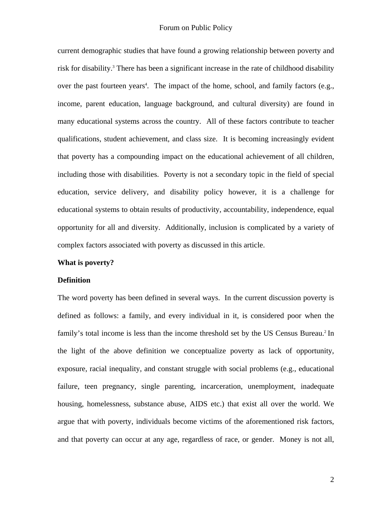current demographic studies that have found a growing relationship between poverty and risk for disability.<sup>3</sup> There has been a significant increase in the rate of childhood disability over the past fourteen years<sup>4</sup>. The impact of the home, school, and family factors (e.g., income, parent education, language background, and cultural diversity) are found in many educational systems across the country. All of these factors contribute to teacher qualifications, student achievement, and class size. It is becoming increasingly evident that poverty has a compounding impact on the educational achievement of all children, including those with disabilities. Poverty is not a secondary topic in the field of special education, service delivery, and disability policy however, it is a challenge for educational systems to obtain results of productivity, accountability, independence, equal opportunity for all and diversity. Additionally, inclusion is complicated by a variety of complex factors associated with poverty as discussed in this article.

#### **What is poverty?**

#### **Definition**

The word poverty has been defined in several ways. In the current discussion poverty is defined as follows: a family, and every individual in it, is considered poor when the family's total income is less than the income threshold set by the US Census Bureau.<sup>2</sup> In the light of the above definition we conceptualize poverty as lack of opportunity, exposure, racial inequality, and constant struggle with social problems (e.g., educational failure, teen pregnancy, single parenting, incarceration, unemployment, inadequate housing, homelessness, substance abuse, AIDS etc.) that exist all over the world. We argue that with poverty, individuals become victims of the aforementioned risk factors, and that poverty can occur at any age, regardless of race, or gender. Money is not all,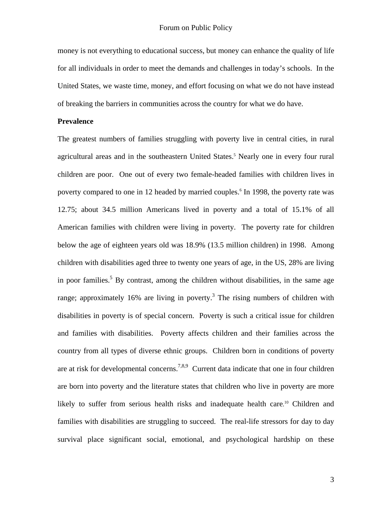money is not everything to educational success, but money can enhance the quality of life for all individuals in order to meet the demands and challenges in today's schools. In the United States, we waste time, money, and effort focusing on what we do not have instead of breaking the barriers in communities across the country for what we do have.

#### **Prevalence**

The greatest numbers of families struggling with poverty live in central cities, in rural agricultural areas and in the southeastern United States.<sup>5</sup> Nearly one in every four rural children are poor. One out of every two female-headed families with children lives in poverty compared to one in 12 headed by married couples.<sup>6</sup> In 1998, the poverty rate was 12.75; about 34.5 million Americans lived in poverty and a total of 15.1% of all American families with children were living in poverty. The poverty rate for children below the age of eighteen years old was 18.9% (13.5 million children) in 1998. Among children with disabilities aged three to twenty one years of age, in the US, 28% are living in poor families.<sup>5</sup> By contrast, among the children without disabilities, in the same age range; approximately 16% are living in poverty.<sup>3</sup> The rising numbers of children with disabilities in poverty is of special concern. Poverty is such a critical issue for children and families with disabilities. Poverty affects children and their families across the country from all types of diverse ethnic groups. Children born in conditions of poverty are at risk for developmental concerns.<sup>7,8,9</sup> Current data indicate that one in four children are born into poverty and the literature states that children who live in poverty are more likely to suffer from serious health risks and inadequate health care.<sup>10</sup> Children and families with disabilities are struggling to succeed. The real-life stressors for day to day survival place significant social, emotional, and psychological hardship on these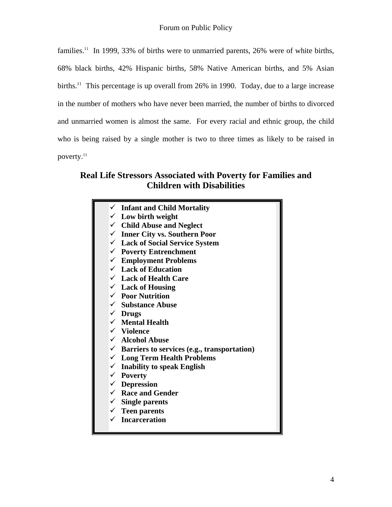families.<sup>11</sup> In 1999, 33% of births were to unmarried parents, 26% were of white births, 68% black births, 42% Hispanic births, 58% Native American births, and 5% Asian births.<sup>11</sup> This percentage is up overall from 26% in 1990. Today, due to a large increase in the number of mothers who have never been married, the number of births to divorced and unmarried women is almost the same. For every racial and ethnic group, the child who is being raised by a single mother is two to three times as likely to be raised in poverty.<sup>11</sup>

# **Real Life Stressors Associated with Poverty for Families and Children with Disabilities**

**Infant and Child Mortality Low birth weight Child Abuse and Neglect Inner City vs. Southern Poor Lack of Social Service System Poverty Entrenchment Employment Problems Lack of Education Lack of Health Care Lack of Housing Poor Nutrition Substance Abuse Drugs Mental Health Violence Alcohol Abuse**   $\checkmark$  Barriers to services (e.g., transportation) **Long Term Health Problems Inability to speak English Poverty Depression Race and Gender Single parents Teen parents Incarceration**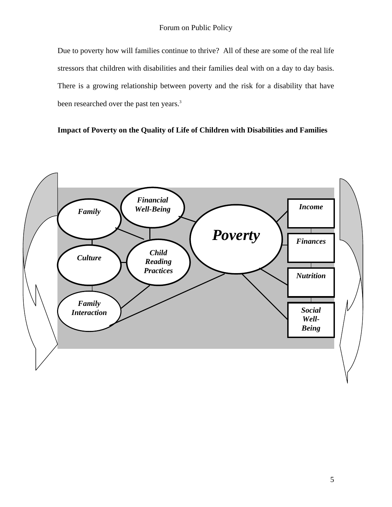Due to poverty how will families continue to thrive? All of these are some of the real life stressors that children with disabilities and their families deal with on a day to day basis. There is a growing relationship between poverty and the risk for a disability that have been researched over the past ten years.<sup>3</sup>

## **Impact of Poverty on the Quality of Life of Children with Disabilities and Families**

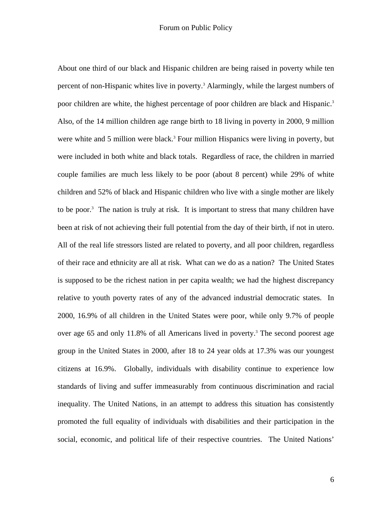About one third of our black and Hispanic children are being raised in poverty while ten percent of non-Hispanic whites live in poverty.<sup>3</sup> Alarmingly, while the largest numbers of poor children are white, the highest percentage of poor children are black and Hispanic.<sup>3</sup> Also, of the 14 million children age range birth to 18 living in poverty in 2000, 9 million were white and 5 million were black.<sup>3</sup> Four million Hispanics were living in poverty, but were included in both white and black totals. Regardless of race, the children in married couple families are much less likely to be poor (about 8 percent) while 29% of white children and 52% of black and Hispanic children who live with a single mother are likely to be poor.<sup>3</sup> The nation is truly at risk. It is important to stress that many children have been at risk of not achieving their full potential from the day of their birth, if not in utero. All of the real life stressors listed are related to poverty, and all poor children, regardless of their race and ethnicity are all at risk. What can we do as a nation? The United States is supposed to be the richest nation in per capita wealth; we had the highest discrepancy relative to youth poverty rates of any of the advanced industrial democratic states. In 2000, 16.9% of all children in the United States were poor, while only 9.7% of people over age 65 and only 11.8% of all Americans lived in poverty.<sup>3</sup> The second poorest age group in the United States in 2000, after 18 to 24 year olds at 17.3% was our youngest citizens at 16.9%. Globally, individuals with disability continue to experience low standards of living and suffer immeasurably from continuous discrimination and racial inequality. The United Nations, in an attempt to address this situation has consistently promoted the full equality of individuals with disabilities and their participation in the social, economic, and political life of their respective countries. The United Nations'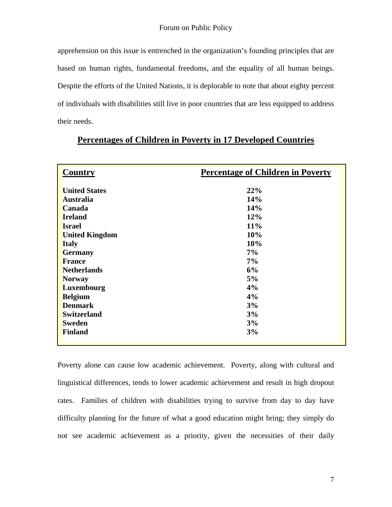apprehension on this issue is entrenched in the organization's founding principles that are based on human rights, fundamental freedoms, and the equality of all human beings. Despite the efforts of the United Nations, it is deplorable to note that about eighty percent of individuals with disabilities still live in poor countries that are less equipped to address their needs.

| <b>Country</b>                           | <b>Percentage of Children in Poverty</b> |
|------------------------------------------|------------------------------------------|
| <b>United States</b><br><b>Australia</b> | 22%<br>14%                               |
| Canada                                   | 14%                                      |
| <b>Ireland</b><br><b>Israel</b>          | 12%<br>11%                               |
| <b>United Kingdom</b>                    | 10%                                      |
| <b>Italy</b><br><b>Germany</b>           | 10%<br>7%                                |
| <b>France</b>                            | 7%                                       |
| <b>Netherlands</b><br><b>Norway</b>      | 6%<br>5%                                 |
| <b>Luxembourg</b>                        | 4%                                       |
| <b>Belgium</b>                           | 4%                                       |
| <b>Denmark</b><br><b>Switzerland</b>     | 3%<br>3%                                 |
| <b>Sweden</b>                            | 3%                                       |
| <b>Finland</b>                           | 3%                                       |

## **Percentages of Children in Poverty in 17 Developed Countries**

Poverty alone can cause low academic achievement. Poverty, along with cultural and linguistical differences, tends to lower academic achievement and result in high dropout rates. Families of children with disabilities trying to survive from day to day have difficulty planning for the future of what a good education might bring; they simply do not see academic achievement as a priority, given the necessities of their daily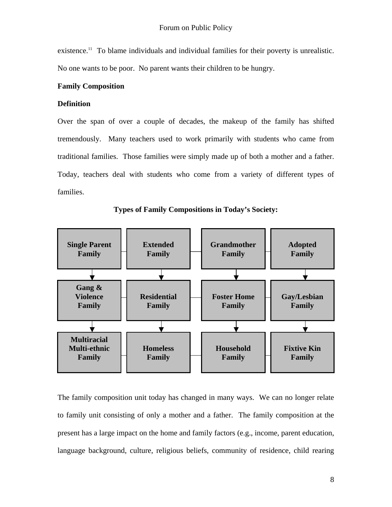existence.<sup>11</sup> To blame individuals and individual families for their poverty is unrealistic. No one wants to be poor. No parent wants their children to be hungry.

#### **Family Composition**

#### **Definition**

Over the span of over a couple of decades, the makeup of the family has shifted tremendously. Many teachers used to work primarily with students who came from traditional families. Those families were simply made up of both a mother and a father. Today, teachers deal with students who come from a variety of different types of families.



**Types of Family Compositions in Today's Society:** 

The family composition unit today has changed in many ways. We can no longer relate to family unit consisting of only a mother and a father. The family composition at the present has a large impact on the home and family factors (e.g., income, parent education, language background, culture, religious beliefs, community of residence, child rearing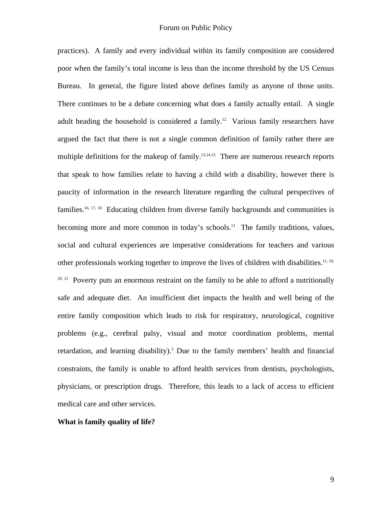practices). A family and every individual within its family composition are considered poor when the family's total income is less than the income threshold by the US Census Bureau.In general, the figure listed above defines family as anyone of those units. There continues to be a debate concerning what does a family actually entail. A single adult heading the household is considered a family.12 Various family researchers have argued the fact that there is not a single common definition of family rather there are multiple definitions for the makeup of family.<sup>13,14,15</sup> There are numerous research reports that speak to how families relate to having a child with a disability, however there is paucity of information in the research literature regarding the cultural perspectives of families.<sup>16, 17, 18</sup> Educating children from diverse family backgrounds and communities is becoming more and more common in today's schools.<sup>11</sup> The family traditions, values, social and cultural experiences are imperative considerations for teachers and various other professionals working together to improve the lives of children with disabilities.<sup>11, 19,</sup>  $20, 21$  Poverty puts an enormous restraint on the family to be able to afford a nutritionally safe and adequate diet. An insufficient diet impacts the health and well being of the entire family composition which leads to risk for respiratory, neurological, cognitive problems (e.g., cerebral palsy, visual and motor coordination problems, mental retardation, and learning disability).<sup>3</sup> Due to the family members' health and financial constraints, the family is unable to afford health services from dentists, psychologists, physicians, or prescription drugs. Therefore, this leads to a lack of access to efficient medical care and other services.

#### **What is family quality of life?**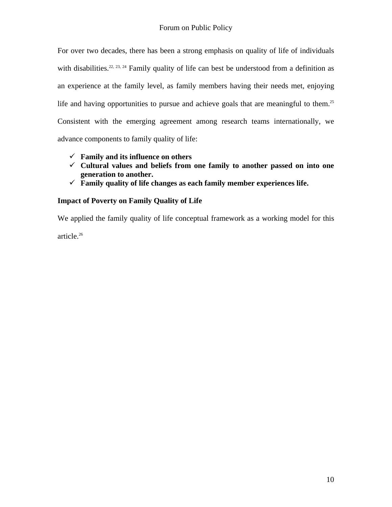For over two decades, there has been a strong emphasis on quality of life of individuals with disabilities.<sup>22, 23, 24</sup> Family quality of life can best be understood from a definition as an experience at the family level, as family members having their needs met, enjoying life and having opportunities to pursue and achieve goals that are meaningful to them.<sup>25</sup> Consistent with the emerging agreement among research teams internationally, we advance components to family quality of life:

- $\checkmark$  Family and its influence on others
- $\checkmark$  Cultural values and beliefs from one family to another passed on into one **generation to another.**
- 9 **Family quality of life changes as each family member experiences life.**

## **Impact of Poverty on Family Quality of Life**

We applied the family quality of life conceptual framework as a working model for this article.<sup>26</sup>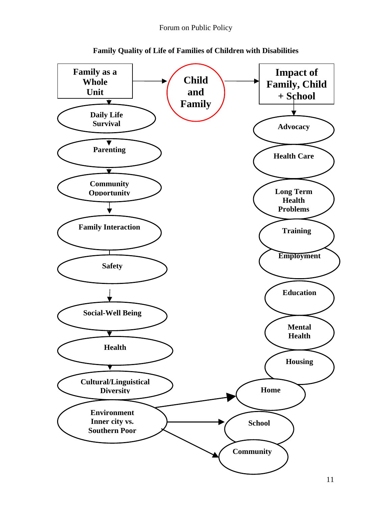

**Family Quality of Life of Families of Children with Disabilities**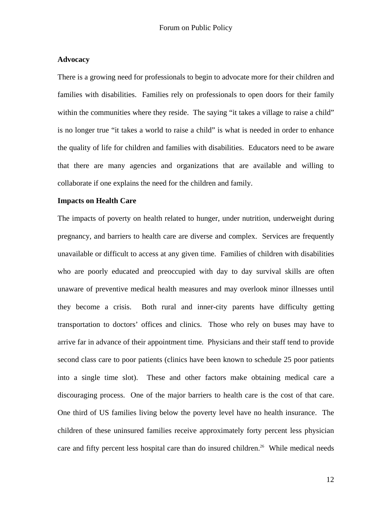#### **Advocacy**

There is a growing need for professionals to begin to advocate more for their children and families with disabilities. Families rely on professionals to open doors for their family within the communities where they reside. The saying "it takes a village to raise a child" is no longer true "it takes a world to raise a child" is what is needed in order to enhance the quality of life for children and families with disabilities. Educators need to be aware that there are many agencies and organizations that are available and willing to collaborate if one explains the need for the children and family.

#### **Impacts on Health Care**

The impacts of poverty on health related to hunger, under nutrition, underweight during pregnancy, and barriers to health care are diverse and complex. Services are frequently unavailable or difficult to access at any given time. Families of children with disabilities who are poorly educated and preoccupied with day to day survival skills are often unaware of preventive medical health measures and may overlook minor illnesses until they become a crisis. Both rural and inner-city parents have difficulty getting transportation to doctors' offices and clinics. Those who rely on buses may have to arrive far in advance of their appointment time. Physicians and their staff tend to provide second class care to poor patients (clinics have been known to schedule 25 poor patients into a single time slot). These and other factors make obtaining medical care a discouraging process. One of the major barriers to health care is the cost of that care. One third of US families living below the poverty level have no health insurance. The children of these uninsured families receive approximately forty percent less physician care and fifty percent less hospital care than do insured children.<sup>26</sup> While medical needs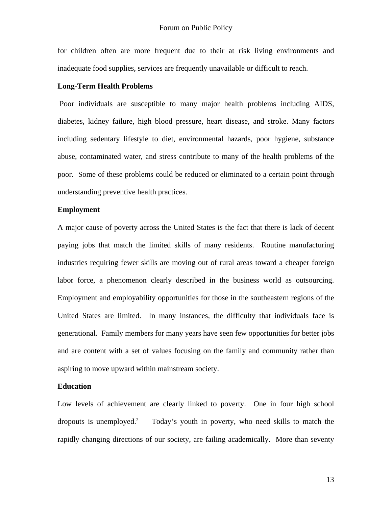for children often are more frequent due to their at risk living environments and inadequate food supplies, services are frequently unavailable or difficult to reach.

#### **Long-Term Health Problems**

 Poor individuals are susceptible to many major health problems including AIDS, diabetes, kidney failure, high blood pressure, heart disease, and stroke. Many factors including sedentary lifestyle to diet, environmental hazards, poor hygiene, substance abuse, contaminated water, and stress contribute to many of the health problems of the poor. Some of these problems could be reduced or eliminated to a certain point through understanding preventive health practices.

#### **Employment**

A major cause of poverty across the United States is the fact that there is lack of decent paying jobs that match the limited skills of many residents. Routine manufacturing industries requiring fewer skills are moving out of rural areas toward a cheaper foreign labor force, a phenomenon clearly described in the business world as outsourcing. Employment and employability opportunities for those in the southeastern regions of the United States are limited. In many instances, the difficulty that individuals face is generational. Family members for many years have seen few opportunities for better jobs and are content with a set of values focusing on the family and community rather than aspiring to move upward within mainstream society.

#### **Education**

Low levels of achievement are clearly linked to poverty. One in four high school dropouts is unemployed.<sup>2</sup> Today's youth in poverty, who need skills to match the rapidly changing directions of our society, are failing academically. More than seventy

13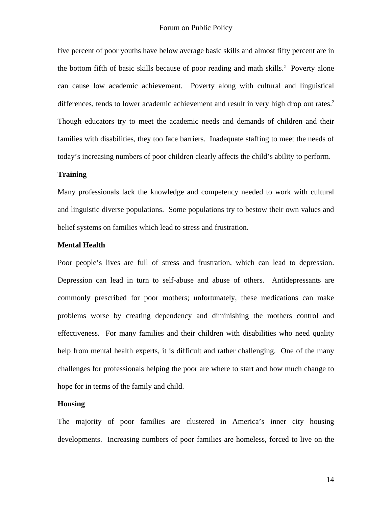five percent of poor youths have below average basic skills and almost fifty percent are in the bottom fifth of basic skills because of poor reading and math skills.<sup>2</sup> Poverty alone can cause low academic achievement. Poverty along with cultural and linguistical differences, tends to lower academic achievement and result in very high drop out rates.<sup>2</sup> Though educators try to meet the academic needs and demands of children and their families with disabilities, they too face barriers. Inadequate staffing to meet the needs of today's increasing numbers of poor children clearly affects the child's ability to perform.

#### **Training**

Many professionals lack the knowledge and competency needed to work with cultural and linguistic diverse populations. Some populations try to bestow their own values and belief systems on families which lead to stress and frustration.

#### **Mental Health**

Poor people's lives are full of stress and frustration, which can lead to depression. Depression can lead in turn to self-abuse and abuse of others. Antidepressants are commonly prescribed for poor mothers; unfortunately, these medications can make problems worse by creating dependency and diminishing the mothers control and effectiveness. For many families and their children with disabilities who need quality help from mental health experts, it is difficult and rather challenging. One of the many challenges for professionals helping the poor are where to start and how much change to hope for in terms of the family and child.

#### **Housing**

The majority of poor families are clustered in America's inner city housing developments. Increasing numbers of poor families are homeless, forced to live on the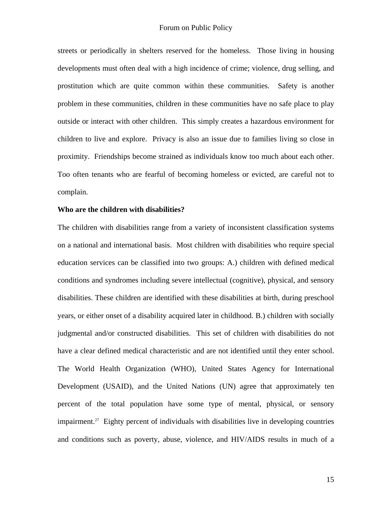streets or periodically in shelters reserved for the homeless. Those living in housing developments must often deal with a high incidence of crime; violence, drug selling, and prostitution which are quite common within these communities. Safety is another problem in these communities, children in these communities have no safe place to play outside or interact with other children. This simply creates a hazardous environment for children to live and explore. Privacy is also an issue due to families living so close in proximity. Friendships become strained as individuals know too much about each other. Too often tenants who are fearful of becoming homeless or evicted, are careful not to complain.

#### **Who are the children with disabilities?**

The children with disabilities range from a variety of inconsistent classification systems on a national and international basis. Most children with disabilities who require special education services can be classified into two groups: A.) children with defined medical conditions and syndromes including severe intellectual (cognitive), physical, and sensory disabilities. These children are identified with these disabilities at birth, during preschool years, or either onset of a disability acquired later in childhood. B.) children with socially judgmental and/or constructed disabilities. This set of children with disabilities do not have a clear defined medical characteristic and are not identified until they enter school. The World Health Organization (WHO), United States Agency for International Development (USAID), and the United Nations (UN) agree that approximately ten percent of the total population have some type of mental, physical, or sensory impairment.<sup>27</sup> Eighty percent of individuals with disabilities live in developing countries and conditions such as poverty, abuse, violence, and HIV/AIDS results in much of a

15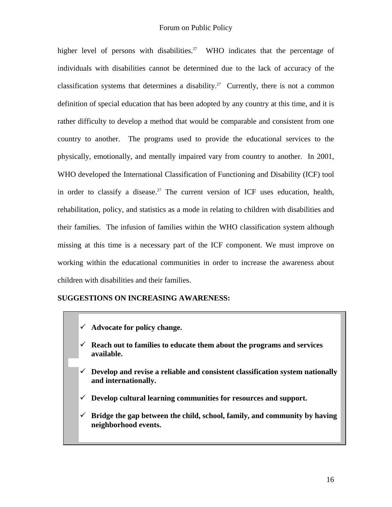higher level of persons with disabilities.<sup>27</sup> WHO indicates that the percentage of individuals with disabilities cannot be determined due to the lack of accuracy of the classification systems that determines a disability.<sup>27</sup> Currently, there is not a common definition of special education that has been adopted by any country at this time, and it is rather difficulty to develop a method that would be comparable and consistent from one country to another. The programs used to provide the educational services to the physically, emotionally, and mentally impaired vary from country to another. In 2001, WHO developed the International Classification of Functioning and Disability (ICF) tool in order to classify a disease.<sup>27</sup> The current version of ICF uses education, health, rehabilitation, policy, and statistics as a mode in relating to children with disabilities and their families. The infusion of families within the WHO classification system although missing at this time is a necessary part of the ICF component. We must improve on working within the educational communities in order to increase the awareness about children with disabilities and their families.

## **SUGGESTIONS ON INCREASING AWARENESS:**

- 9 **Advocate for policy change.**
- $\checkmark$  Reach out to families to educate them about the programs and services **available.**
- $\checkmark$  Develop and revise a reliable and consistent classification system nationally **and internationally.**
- $\checkmark$  Develop cultural learning communities for resources and support.
- $\checkmark$  Bridge the gap between the child, school, family, and community by having **neighborhood events.**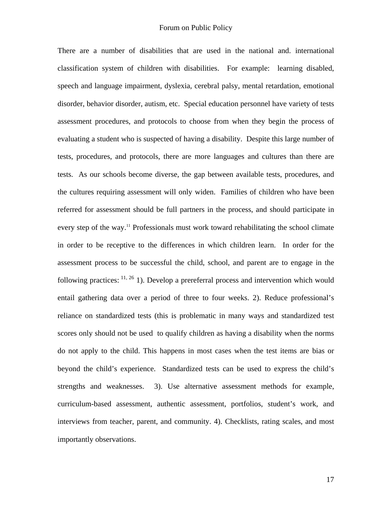There are a number of disabilities that are used in the national and. international classification system of children with disabilities. For example: learning disabled, speech and language impairment, dyslexia, cerebral palsy, mental retardation, emotional disorder, behavior disorder, autism, etc. Special education personnel have variety of tests assessment procedures, and protocols to choose from when they begin the process of evaluating a student who is suspected of having a disability. Despite this large number of tests, procedures, and protocols, there are more languages and cultures than there are tests. As our schools become diverse, the gap between available tests, procedures, and the cultures requiring assessment will only widen. Families of children who have been referred for assessment should be full partners in the process, and should participate in every step of the way.<sup>11</sup> Professionals must work toward rehabilitating the school climate in order to be receptive to the differences in which children learn. In order for the assessment process to be successful the child, school, and parent are to engage in the following practices:  $\frac{11, 26}$  1). Develop a prereferral process and intervention which would entail gathering data over a period of three to four weeks. 2). Reduce professional's reliance on standardized tests (this is problematic in many ways and standardized test scores only should not be used to qualify children as having a disability when the norms do not apply to the child. This happens in most cases when the test items are bias or beyond the child's experience. Standardized tests can be used to express the child's strengths and weaknesses. 3). Use alternative assessment methods for example, curriculum-based assessment, authentic assessment, portfolios, student's work, and interviews from teacher, parent, and community. 4). Checklists, rating scales, and most importantly observations.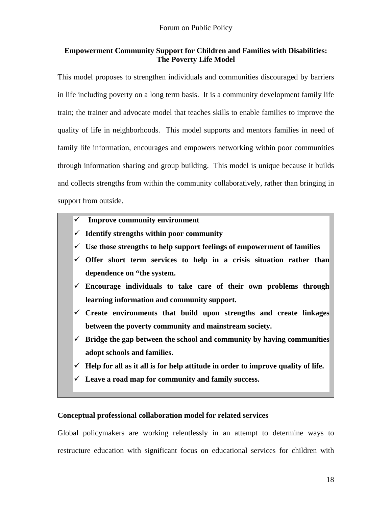## **Empowerment Community Support for Children and Families with Disabilities: The Poverty Life Model**

This model proposes to strengthen individuals and communities discouraged by barriers in life including poverty on a long term basis. It is a community development family life train; the trainer and advocate model that teaches skills to enable families to improve the quality of life in neighborhoods. This model supports and mentors families in need of family life information, encourages and empowers networking within poor communities through information sharing and group building. This model is unique because it builds and collects strengths from within the community collaboratively, rather than bringing in support from outside.

- $\checkmark$  Improve community environment
- $\checkmark$  Identify strengths within poor community
- $\checkmark$  Use those strengths to help support feelings of empowerment of families
- $\checkmark$  Offer short term services to help in a crisis situation rather than **dependence on "the system.**
- $\checkmark$  Encourage individuals to take care of their own problems through **learning information and community support.**
- 9 **Create environments that build upon strengths and create linkages between the poverty community and mainstream society.**
- $\checkmark$  Bridge the gap between the school and community by having communities **adopt schools and families.**
- $\checkmark$  Help for all as it all is for help attitude in order to improve quality of life.
- $\checkmark$  Leave a road map for community and family success.

### **Conceptual professional collaboration model for related services**

Global policymakers are working relentlessly in an attempt to determine ways to restructure education with significant focus on educational services for children with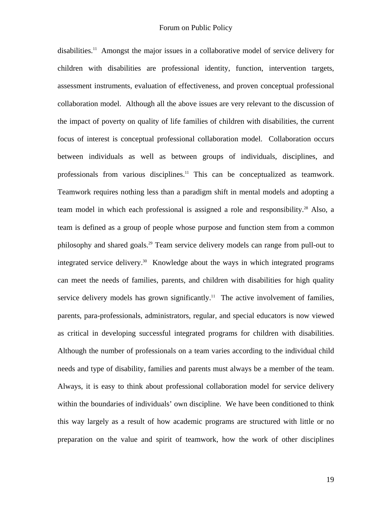disabilities.11 Amongst the major issues in a collaborative model of service delivery for children with disabilities are professional identity, function, intervention targets, assessment instruments, evaluation of effectiveness, and proven conceptual professional collaboration model. Although all the above issues are very relevant to the discussion of the impact of poverty on quality of life families of children with disabilities, the current focus of interest is conceptual professional collaboration model. Collaboration occurs between individuals as well as between groups of individuals, disciplines, and professionals from various disciplines.<sup>11</sup> This can be conceptualized as teamwork. Teamwork requires nothing less than a paradigm shift in mental models and adopting a team model in which each professional is assigned a role and responsibility.<sup>28</sup> Also, a team is defined as a group of people whose purpose and function stem from a common philosophy and shared goals.29 Team service delivery models can range from pull-out to integrated service delivery.30 Knowledge about the ways in which integrated programs can meet the needs of families, parents, and children with disabilities for high quality service delivery models has grown significantly.<sup>11</sup> The active involvement of families, parents, para-professionals, administrators, regular, and special educators is now viewed as critical in developing successful integrated programs for children with disabilities. Although the number of professionals on a team varies according to the individual child needs and type of disability, families and parents must always be a member of the team. Always, it is easy to think about professional collaboration model for service delivery within the boundaries of individuals' own discipline. We have been conditioned to think this way largely as a result of how academic programs are structured with little or no preparation on the value and spirit of teamwork, how the work of other disciplines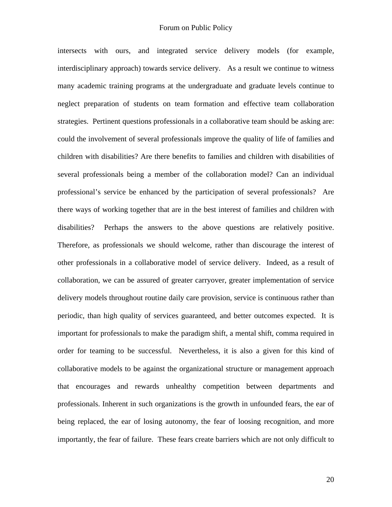intersects with ours, and integrated service delivery models (for example, interdisciplinary approach) towards service delivery. As a result we continue to witness many academic training programs at the undergraduate and graduate levels continue to neglect preparation of students on team formation and effective team collaboration strategies. Pertinent questions professionals in a collaborative team should be asking are: could the involvement of several professionals improve the quality of life of families and children with disabilities? Are there benefits to families and children with disabilities of several professionals being a member of the collaboration model? Can an individual professional's service be enhanced by the participation of several professionals? Are there ways of working together that are in the best interest of families and children with disabilities? Perhaps the answers to the above questions are relatively positive. Therefore, as professionals we should welcome, rather than discourage the interest of other professionals in a collaborative model of service delivery. Indeed, as a result of collaboration, we can be assured of greater carryover, greater implementation of service delivery models throughout routine daily care provision, service is continuous rather than periodic, than high quality of services guaranteed, and better outcomes expected. It is important for professionals to make the paradigm shift, a mental shift, comma required in order for teaming to be successful. Nevertheless, it is also a given for this kind of collaborative models to be against the organizational structure or management approach that encourages and rewards unhealthy competition between departments and professionals. Inherent in such organizations is the growth in unfounded fears, the ear of being replaced, the ear of losing autonomy, the fear of loosing recognition, and more importantly, the fear of failure. These fears create barriers which are not only difficult to

20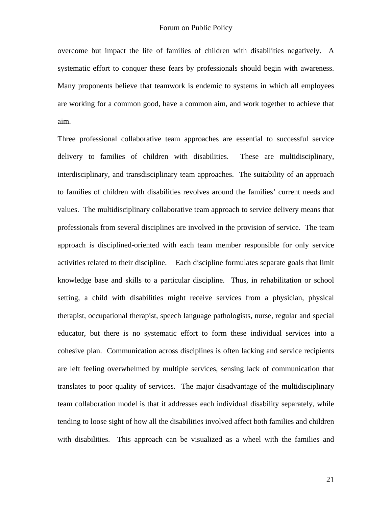overcome but impact the life of families of children with disabilities negatively. A systematic effort to conquer these fears by professionals should begin with awareness. Many proponents believe that teamwork is endemic to systems in which all employees are working for a common good, have a common aim, and work together to achieve that aim.

Three professional collaborative team approaches are essential to successful service delivery to families of children with disabilities. These are multidisciplinary, interdisciplinary, and transdisciplinary team approaches. The suitability of an approach to families of children with disabilities revolves around the families' current needs and values. The multidisciplinary collaborative team approach to service delivery means that professionals from several disciplines are involved in the provision of service. The team approach is disciplined-oriented with each team member responsible for only service activities related to their discipline. Each discipline formulates separate goals that limit knowledge base and skills to a particular discipline. Thus, in rehabilitation or school setting, a child with disabilities might receive services from a physician, physical therapist, occupational therapist, speech language pathologists, nurse, regular and special educator, but there is no systematic effort to form these individual services into a cohesive plan. Communication across disciplines is often lacking and service recipients are left feeling overwhelmed by multiple services, sensing lack of communication that translates to poor quality of services. The major disadvantage of the multidisciplinary team collaboration model is that it addresses each individual disability separately, while tending to loose sight of how all the disabilities involved affect both families and children with disabilities. This approach can be visualized as a wheel with the families and

21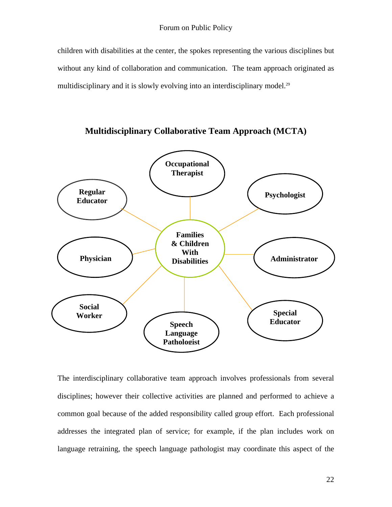children with disabilities at the center, the spokes representing the various disciplines but without any kind of collaboration and communication. The team approach originated as multidisciplinary and it is slowly evolving into an interdisciplinary model.<sup>29</sup>



**Multidisciplinary Collaborative Team Approach (MCTA)** 

The interdisciplinary collaborative team approach involves professionals from several disciplines; however their collective activities are planned and performed to achieve a common goal because of the added responsibility called group effort. Each professional addresses the integrated plan of service; for example, if the plan includes work on language retraining, the speech language pathologist may coordinate this aspect of the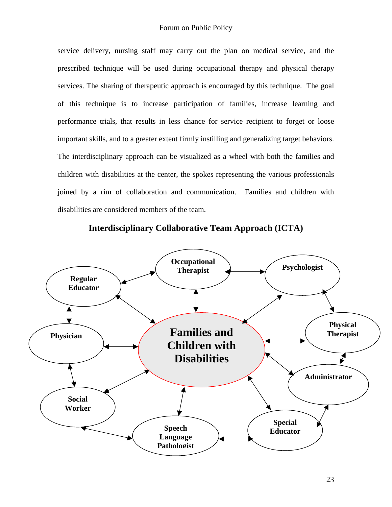service delivery, nursing staff may carry out the plan on medical service, and the prescribed technique will be used during occupational therapy and physical therapy services. The sharing of therapeutic approach is encouraged by this technique. The goal of this technique is to increase participation of families, increase learning and performance trials, that results in less chance for service recipient to forget or loose important skills, and to a greater extent firmly instilling and generalizing target behaviors. The interdisciplinary approach can be visualized as a wheel with both the families and children with disabilities at the center, the spokes representing the various professionals joined by a rim of collaboration and communication. Families and children with disabilities are considered members of the team.



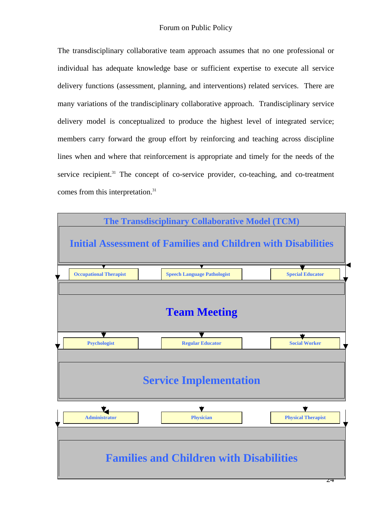The transdisciplinary collaborative team approach assumes that no one professional or individual has adequate knowledge base or sufficient expertise to execute all service delivery functions (assessment, planning, and interventions) related services. There are many variations of the trandisciplinary collaborative approach. Trandisciplinary service delivery model is conceptualized to produce the highest level of integrated service; members carry forward the group effort by reinforcing and teaching across discipline lines when and where that reinforcement is appropriate and timely for the needs of the service recipient. $31$  The concept of co-service provider, co-teaching, and co-treatment comes from this interpretation.31

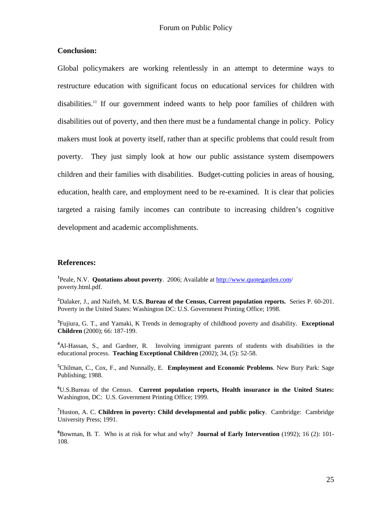### **Conclusion:**

Global policymakers are working relentlessly in an attempt to determine ways to restructure education with significant focus on educational services for children with disabilities.11 If our government indeed wants to help poor families of children with disabilities out of poverty, and then there must be a fundamental change in policy. Policy makers must look at poverty itself, rather than at specific problems that could result from poverty. They just simply look at how our public assistance system disempowers children and their families with disabilities. Budget-cutting policies in areas of housing, education, health care, and employment need to be re-examined. It is clear that policies targeted a raising family incomes can contribute to increasing children's cognitive development and academic accomplishments.

#### **References:**

<sup>1</sup> Peale, N.V. **Quotations about poverty**. 2006; Available at <http://www.quotegarden.com/> poverty.html.pdf.

**2** Dalaker, J., and Naifeh, M. **U.S. Bureau of the Census, Current population reports.** Series P. 60-201. Poverty in the United States: Washington DC: U.S. Government Printing Office; 1998.

**3** Fujiura, G. T., and Yamaki, K Trends in demography of childhood poverty and disability. **Exceptional Children** (2000); 66: 187-199.

**4** Al-Hassan, S., and Gardner, R. Involving immigrant parents of students with disabilities in the educational process. **Teaching Exceptional Children** (2002); 34, (5): 52-58.

**5** Chilman, C., Cox, F., and Nunnally, E. **Employment and Economic Problems**. New Bury Park: Sage Publishing; 1988.

**6** U.S.Bureau of the Census. **Current population reports, Health insurance in the United States:** Washington, DC: U.S. Government Printing Office; 1999.

**7** Huston, A. C. **Children in poverty: Child developmental and public policy**. Cambridge: Cambridge University Press; 1991.

**8** Bowman, B. T. Who is at risk for what and why? **Journal of Early Intervention** (1992); 16 (2): 101- 108.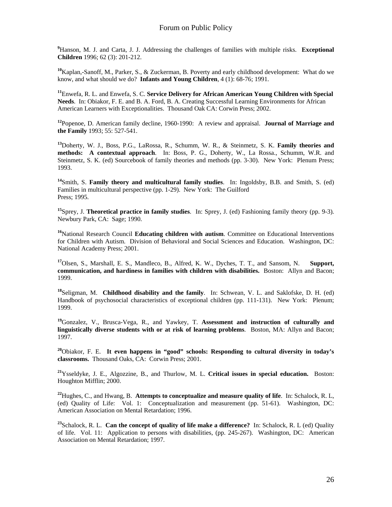**9** Hanson, M. J. and Carta, J. J. Addressing the challenges of families with multiple risks. **Exceptional Children** 1996; 62 (3): 201-212.

**<sup>10</sup>**Kaplan,-Sanoff, M., Parker, S., & Zuckerman, B. Poverty and early childhood development: What do we know, and what should we do? **Infants and Young Children**, 4 (1): 68-76; 1991.

**<sup>11</sup>**Enwefa, R. L. and Enwefa, S. C. **Service Delivery for African American Young Children with Special Needs**. In: Obiakor, F. E. and B. A. Ford, B. A. Creating Successful Learning Environments for African American Learners with Exceptionalities. Thousand Oak CA: Corwin Press; 2002.

**<sup>12</sup>**Popenoe, D. American family decline, 1960-1990: A review and appraisal. **Journal of Marriage and the Family** 1993; 55: 527-541.

**<sup>13</sup>**Doherty, W. J., Boss, P.G., LaRossa, R., Schumm, W. R., & Steinmetz, S. K. **Family theories and methods: A contextual approach**. In: Boss, P. G., Doherty, W., La Rossa., Schumm, W.R. and Steinmetz, S. K. (ed) Sourcebook of family theories and methods (pp. 3-30). New York: Plenum Press; 1993.

**<sup>14</sup>**Smith, S. **Family theory and multicultural family studies**. In: Ingoldsby, B.B. and Smith, S. (ed) Families in multicultural perspective (pp. 1-29). New York: The Guilford Press; 1995.

**<sup>15</sup>**Sprey, J. **Theoretical practice in family studies**. In: Sprey, J. (ed) Fashioning family theory (pp. 9-3). Newbury Park, CA: Sage; 1990.

**<sup>16</sup>**National Research Council **Educating children with autism**. Committee on Educational Interventions for Children with Autism. Division of Behavioral and Social Sciences and Education. Washington, DC: National Academy Press; 2001.

**<sup>17</sup>**Olsen, S., Marshall, E. S., Mandleco, B., Alfred, K. W., Dyches, T. T., and Sansom, N. **Support, communication, and hardiness in families with children with disabilities.** Boston: Allyn and Bacon; 1999.

**<sup>18</sup>**Seligman, M. **Childhood disability and the family**. In: Schwean, V. L. and Saklofske, D. H. (ed) Handbook of psychosocial characteristics of exceptional children (pp. 111-131). New York: Plenum; 1999.

**<sup>19</sup>**Gonzalez, V., Brusca-Vega, R., and Yawkey, T. **Assessment and instruction of culturally and linguistically diverse students with or at risk of learning problems**. Boston, MA: Allyn and Bacon; 1997.

**<sup>20</sup>**Obiakor, F. E. **It even happens in "good" schools: Responding to cultural diversity in today's classrooms.** Thousand Oaks, CA: Corwin Press; 2001.

**<sup>21</sup>**Ysseldyke, J. E., Algozzine, B., and Thurlow, M. L. **Critical issues in special education.** Boston: Houghton Mifflin; 2000.

**<sup>22</sup>**Hughes, C., and Hwang, B. **Attempts to conceptualize and measure quality of life**. In: Schalock, R. L, (ed) Quality of Life: Vol. 1: Conceptualization and measurement (pp. 51-61). Washington, DC: American Association on Mental Retardation; 1996.

**<sup>23</sup>**Schalock, R. L. **Can the concept of quality of life make a difference?** In: Schalock, R. L (ed) Quality of life. Vol. 11: Application to persons with disabilities, (pp. 245-267). Washington, DC: American Association on Mental Retardation; 1997.